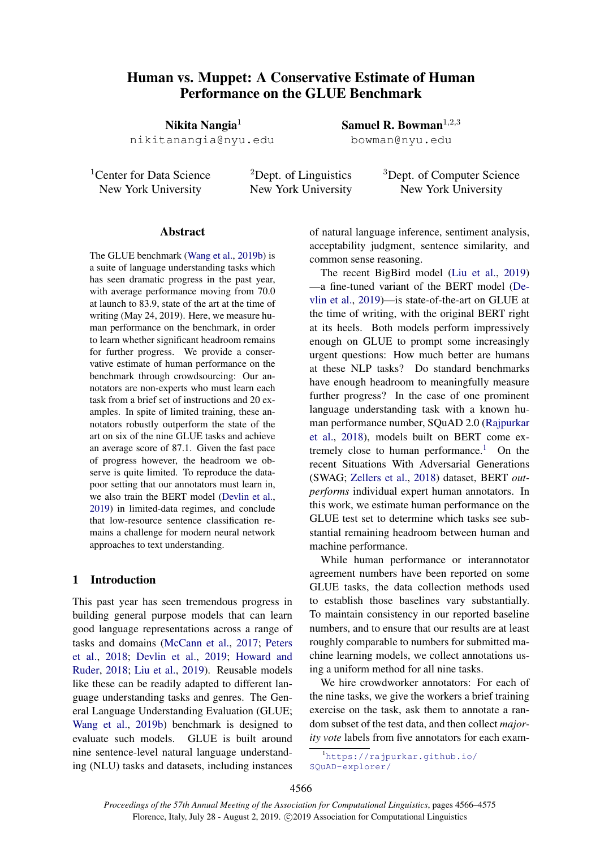# Human vs. Muppet: A Conservative Estimate of Human Performance on the GLUE Benchmark

Nikita Nangia $<sup>1</sup>$ </sup> nikitanangia@nyu.edu

<sup>1</sup>Center for Data Science New York University

<sup>2</sup>Dept. of Linguistics New York University

<sup>3</sup>Dept. of Computer Science New York University

## Abstract

The GLUE benchmark [\(Wang et al.,](#page-5-0) [2019b\)](#page-5-0) is a suite of language understanding tasks which has seen dramatic progress in the past year, with average performance moving from 70.0 at launch to 83.9, state of the art at the time of writing (May 24, 2019). Here, we measure human performance on the benchmark, in order to learn whether significant headroom remains for further progress. We provide a conservative estimate of human performance on the benchmark through crowdsourcing: Our annotators are non-experts who must learn each task from a brief set of instructions and 20 examples. In spite of limited training, these annotators robustly outperform the state of the art on six of the nine GLUE tasks and achieve an average score of 87.1. Given the fast pace of progress however, the headroom we observe is quite limited. To reproduce the datapoor setting that our annotators must learn in, we also train the BERT model [\(Devlin et al.,](#page-4-0) [2019\)](#page-4-0) in limited-data regimes, and conclude that low-resource sentence classification remains a challenge for modern neural network approaches to text understanding.

## 1 Introduction

This past year has seen tremendous progress in building general purpose models that can learn good language representations across a range of tasks and domains [\(McCann et al.,](#page-4-1) [2017;](#page-4-1) [Peters](#page-4-2) [et al.,](#page-4-2) [2018;](#page-4-2) [Devlin et al.,](#page-4-0) [2019;](#page-4-0) [Howard and](#page-4-3) [Ruder,](#page-4-3) [2018;](#page-4-3) [Liu et al.,](#page-4-4) [2019\)](#page-4-4). Reusable models like these can be readily adapted to different language understanding tasks and genres. The General Language Understanding Evaluation (GLUE; [Wang et al.,](#page-5-0) [2019b\)](#page-5-0) benchmark is designed to evaluate such models. GLUE is built around nine sentence-level natural language understanding (NLU) tasks and datasets, including instances of natural language inference, sentiment analysis, acceptability judgment, sentence similarity, and common sense reasoning.

Samuel R. Bowman<sup> $1,2,3$ </sup> bowman@nyu.edu

The recent BigBird model [\(Liu et al.,](#page-4-4) [2019\)](#page-4-4) —a fine-tuned variant of the BERT model [\(De](#page-4-0)[vlin et al.,](#page-4-0) [2019\)](#page-4-0)—is state-of-the-art on GLUE at the time of writing, with the original BERT right at its heels. Both models perform impressively enough on GLUE to prompt some increasingly urgent questions: How much better are humans at these NLP tasks? Do standard benchmarks have enough headroom to meaningfully measure further progress? In the case of one prominent language understanding task with a known human performance number, SQuAD 2.0 [\(Rajpurkar](#page-5-1) [et al.,](#page-5-1) [2018\)](#page-5-1), models built on BERT come ex-tremely close to human performance.<sup>[1](#page-0-0)</sup> On the recent Situations With Adversarial Generations (SWAG; [Zellers et al.,](#page-5-2) [2018\)](#page-5-2) dataset, BERT *outperforms* individual expert human annotators. In this work, we estimate human performance on the GLUE test set to determine which tasks see substantial remaining headroom between human and machine performance.

While human performance or interannotator agreement numbers have been reported on some GLUE tasks, the data collection methods used to establish those baselines vary substantially. To maintain consistency in our reported baseline numbers, and to ensure that our results are at least roughly comparable to numbers for submitted machine learning models, we collect annotations using a uniform method for all nine tasks.

We hire crowdworker annotators: For each of the nine tasks, we give the workers a brief training exercise on the task, ask them to annotate a random subset of the test data, and then collect *majority vote* labels from five annotators for each exam-

<span id="page-0-0"></span><sup>1</sup>[https://rajpurkar.github.io/](https://rajpurkar.github.io/SQuAD-explorer/) [SQuAD-explorer/](https://rajpurkar.github.io/SQuAD-explorer/)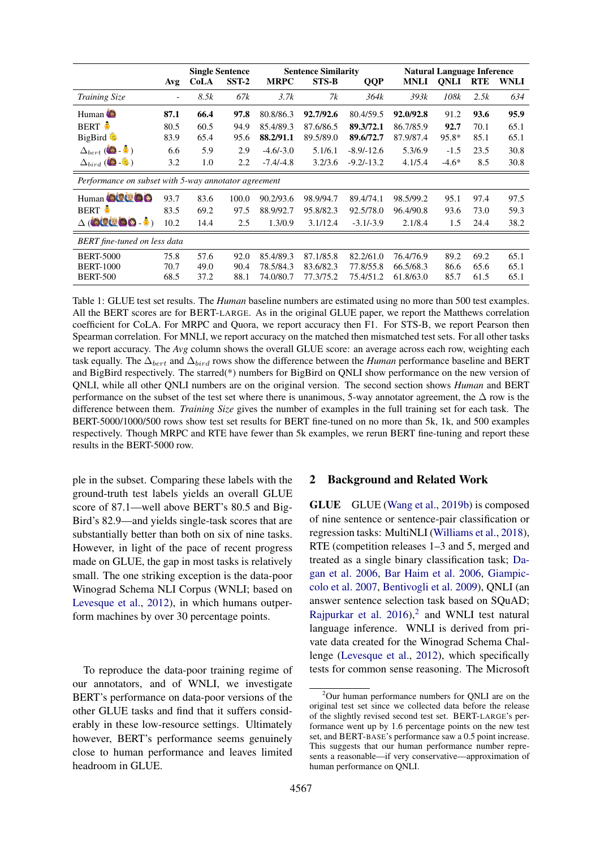<span id="page-1-1"></span>

|                                                      |                          | <b>Single Sentence</b> |       | <b>Sentence Similarity</b> |              |              | <b>Natural Language Inference</b> |             |            |             |
|------------------------------------------------------|--------------------------|------------------------|-------|----------------------------|--------------|--------------|-----------------------------------|-------------|------------|-------------|
|                                                      | Avg                      | <b>CoLA</b>            | SST-2 | <b>MRPC</b>                | <b>STS-B</b> | <b>QQP</b>   | <b>MNLI</b>                       | <b>ONLI</b> | <b>RTE</b> | <b>WNLI</b> |
| <b>Training Size</b>                                 | $\overline{\phantom{a}}$ | 8.5k                   | 67k   | 3.7k                       | 7k           | 364k         | 393k                              | 108k        | 2.5k       | 634         |
| Human <sup>6</sup>                                   | 87.1                     | 66.4                   | 97.8  | 80.8/86.3                  | 92.7/92.6    | 80.4/59.5    | 92.0/92.8                         | 91.2        | 93.6       | 95.9        |
| <b>BERT</b>                                          | 80.5                     | 60.5                   | 94.9  | 85.4/89.3                  | 87.6/86.5    | 89.3/72.1    | 86.7/85.9                         | 92.7        | 70.1       | 65.1        |
| BigBird                                              | 83.9                     | 65.4                   | 95.6  | 88.2/91.1                  | 89.5/89.0    | 89.6/72.7    | 87.9/87.4                         | $95.8*$     | 85.1       | 65.1        |
| $\Delta_{bert}$ ( <b>b</b> - $\bullet$ )             | 6.6                      | 5.9                    | 2.9   | $-4.6/-3.0$                | 5.1/6.1      | $-8.9/-12.6$ | 5.3/6.9                           | $-1.5$      | 23.5       | 30.8        |
| $\Delta_{bird}$ ( $\bigcirc$ - $\bigcirc$ )          | 3.2                      | 1.0                    | 2.2   | $-7.4/-4.8$                | 3.2/3.6      | $-9.2/-13.2$ | 4.1/5.4                           | $-4.6*$     | 8.5        | 30.8        |
| Performance on subset with 5-way annotator agreement |                          |                        |       |                            |              |              |                                   |             |            |             |
| Human <b>OCCOO</b>                                   | 93.7                     | 83.6                   | 100.0 | 90.2/93.6                  | 98.9/94.7    | 89.4/74.1    | 98.5/99.2                         | 95.1        | 97.4       | 97.5        |
| <b>BERT</b>                                          | 83.5                     | 69.2                   | 97.5  | 88.9/92.7                  | 95.8/82.3    | 92.5/78.0    | 96.4/90.8                         | 93.6        | 73.0       | 59.3        |
| $\Delta$ (blue b b $\Delta$ )                        | 10.2                     | 14.4                   | 2.5   | 1.3/0.9                    | 3.1/12.4     | $-3.1/-3.9$  | 2.1/8.4                           | 1.5         | 24.4       | 38.2        |
| <b>BERT</b> fine-tuned on less data                  |                          |                        |       |                            |              |              |                                   |             |            |             |
| <b>BERT-5000</b>                                     | 75.8                     | 57.6                   | 92.0  | 85.4/89.3                  | 87.1/85.8    | 82.2/61.0    | 76.4/76.9                         | 89.2        | 69.2       | 65.1        |
| <b>BERT-1000</b>                                     | 70.7                     | 49.0                   | 90.4  | 78.5/84.3                  | 83.6/82.3    | 77.8/55.8    | 66.5/68.3                         | 86.6        | 65.6       | 65.1        |
| <b>BERT-500</b>                                      | 68.5                     | 37.2                   | 88.1  | 74.0/80.7                  | 77.3/75.2    | 75.4/51.2    | 61.8/63.0                         | 85.7        | 61.5       | 65.1        |

Table 1: GLUE test set results. The *Human* baseline numbers are estimated using no more than 500 test examples. All the BERT scores are for BERT-LARGE. As in the original GLUE paper, we report the Matthews correlation coefficient for CoLA. For MRPC and Quora, we report accuracy then F1. For STS-B, we report Pearson then Spearman correlation. For MNLI, we report accuracy on the matched then mismatched test sets. For all other tasks we report accuracy. The *Avg* column shows the overall GLUE score: an average across each row, weighting each task equally. The  $\Delta_{bert}$  and  $\Delta_{bird}$  rows show the difference between the *Human* performance baseline and BERT and BigBird respectively. The starred(\*) numbers for BigBird on QNLI show performance on the new version of QNLI, while all other QNLI numbers are on the original version. The second section shows *Human* and BERT performance on the subset of the test set where there is unanimous, 5-way annotator agreement, the  $\Delta$  row is the difference between them. *Training Size* gives the number of examples in the full training set for each task. The BERT-5000/1000/500 rows show test set results for BERT fine-tuned on no more than 5k, 1k, and 500 examples respectively. Though MRPC and RTE have fewer than 5k examples, we rerun BERT fine-tuning and report these results in the BERT-5000 row.

ple in the subset. Comparing these labels with the ground-truth test labels yields an overall GLUE score of 87.1—well above BERT's 80.5 and Big-Bird's 82.9—and yields single-task scores that are substantially better than both on six of nine tasks. However, in light of the pace of recent progress made on GLUE, the gap in most tasks is relatively small. The one striking exception is the data-poor Winograd Schema NLI Corpus (WNLI; based on [Levesque et al.,](#page-4-5) [2012\)](#page-4-5), in which humans outperform machines by over 30 percentage points.

To reproduce the data-poor training regime of our annotators, and of WNLI, we investigate BERT's performance on data-poor versions of the other GLUE tasks and find that it suffers considerably in these low-resource settings. Ultimately however, BERT's performance seems genuinely close to human performance and leaves limited headroom in GLUE.

# 2 Background and Related Work

GLUE GLUE [\(Wang et al.,](#page-5-0) [2019b\)](#page-5-0) is composed of nine sentence or sentence-pair classification or regression tasks: MultiNLI [\(Williams et al.,](#page-5-3) [2018\)](#page-5-3), RTE (competition releases 1–3 and 5, merged and treated as a single binary classification task; [Da](#page-4-6)[gan et al.](#page-4-6) [2006,](#page-4-6) [Bar Haim et al.](#page-4-7) [2006,](#page-4-7) [Giampic](#page-4-8)[colo et al.](#page-4-8) [2007,](#page-4-8) [Bentivogli et al.](#page-4-9) [2009\)](#page-4-9), QNLI (an answer sentence selection task based on SQuAD; [Rajpurkar et al.](#page-5-4)  $2016$  $2016$ ,<sup>2</sup> and WNLI test natural language inference. WNLI is derived from private data created for the Winograd Schema Challenge [\(Levesque et al.,](#page-4-5) [2012\)](#page-4-5), which specifically tests for common sense reasoning. The Microsoft

<span id="page-1-0"></span><sup>2</sup>Our human performance numbers for QNLI are on the original test set since we collected data before the release of the slightly revised second test set. BERT-LARGE's performance went up by 1.6 percentage points on the new test set, and BERT-BASE's performance saw a 0.5 point increase. This suggests that our human performance number represents a reasonable—if very conservative—approximation of human performance on QNLI.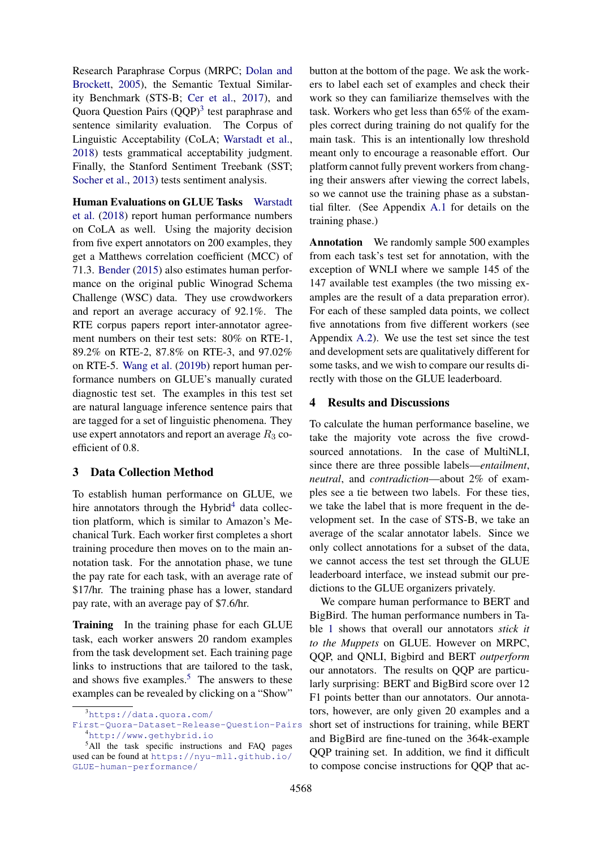Research Paraphrase Corpus (MRPC; [Dolan and](#page-4-10) [Brockett,](#page-4-10) [2005\)](#page-4-10), the Semantic Textual Similarity Benchmark (STS-B; [Cer et al.,](#page-4-11) [2017\)](#page-4-11), and Quora Question Pairs (QQP)<sup>[3](#page-2-0)</sup> test paraphrase and sentence similarity evaluation. The Corpus of Linguistic Acceptability (CoLA; [Warstadt et al.,](#page-5-5) [2018\)](#page-5-5) tests grammatical acceptability judgment. Finally, the Stanford Sentiment Treebank (SST; [Socher et al.,](#page-5-6) [2013\)](#page-5-6) tests sentiment analysis.

Human Evaluations on GLUE Tasks [Warstadt](#page-5-5) [et al.](#page-5-5) [\(2018\)](#page-5-5) report human performance numbers on CoLA as well. Using the majority decision from five expert annotators on 200 examples, they get a Matthews correlation coefficient (MCC) of 71.3. [Bender](#page-4-12) [\(2015\)](#page-4-12) also estimates human performance on the original public Winograd Schema Challenge (WSC) data. They use crowdworkers and report an average accuracy of 92.1%. The RTE corpus papers report inter-annotator agreement numbers on their test sets: 80% on RTE-1, 89.2% on RTE-2, 87.8% on RTE-3, and 97.02% on RTE-5. [Wang et al.](#page-5-0) [\(2019b\)](#page-5-0) report human performance numbers on GLUE's manually curated diagnostic test set. The examples in this test set are natural language inference sentence pairs that are tagged for a set of linguistic phenomena. They use expert annotators and report an average  $R_3$  coefficient of 0.8.

## 3 Data Collection Method

To establish human performance on GLUE, we hire annotators through the Hybrid<sup>[4](#page-2-1)</sup> data collection platform, which is similar to Amazon's Mechanical Turk. Each worker first completes a short training procedure then moves on to the main annotation task. For the annotation phase, we tune the pay rate for each task, with an average rate of \$17/hr. The training phase has a lower, standard pay rate, with an average pay of \$7.6/hr.

Training In the training phase for each GLUE task, each worker answers 20 random examples from the task development set. Each training page links to instructions that are tailored to the task, and shows five examples.<sup>[5](#page-2-2)</sup> The answers to these examples can be revealed by clicking on a "Show"

button at the bottom of the page. We ask the workers to label each set of examples and check their work so they can familiarize themselves with the task. Workers who get less than 65% of the examples correct during training do not qualify for the main task. This is an intentionally low threshold meant only to encourage a reasonable effort. Our platform cannot fully prevent workers from changing their answers after viewing the correct labels, so we cannot use the training phase as a substantial filter. (See Appendix [A.1](#page-5-7) for details on the training phase.)

Annotation We randomly sample 500 examples from each task's test set for annotation, with the exception of WNLI where we sample 145 of the 147 available test examples (the two missing examples are the result of a data preparation error). For each of these sampled data points, we collect five annotations from five different workers (see Appendix [A.2\)](#page-5-8). We use the test set since the test and development sets are qualitatively different for some tasks, and we wish to compare our results directly with those on the GLUE leaderboard.

## 4 Results and Discussions

To calculate the human performance baseline, we take the majority vote across the five crowdsourced annotations. In the case of MultiNLI, since there are three possible labels—*entailment*, *neutral*, and *contradiction*—about 2% of examples see a tie between two labels. For these ties, we take the label that is more frequent in the development set. In the case of STS-B, we take an average of the scalar annotator labels. Since we only collect annotations for a subset of the data, we cannot access the test set through the GLUE leaderboard interface, we instead submit our predictions to the GLUE organizers privately.

We compare human performance to BERT and BigBird. The human performance numbers in Table [1](#page-1-1) shows that overall our annotators *stick it to the Muppets* on GLUE. However on MRPC, QQP, and QNLI, Bigbird and BERT *outperform* our annotators. The results on QQP are particularly surprising: BERT and BigBird score over 12 F1 points better than our annotators. Our annotators, however, are only given 20 examples and a short set of instructions for training, while BERT and BigBird are fine-tuned on the 364k-example QQP training set. In addition, we find it difficult to compose concise instructions for QQP that ac-

<span id="page-2-0"></span><sup>3</sup>[https://data.quora.com/](https://data.quora.com/First-Quora-Dataset-Release-Question-Pairs)

<span id="page-2-1"></span>[First-Quora-Dataset-Release-Question-Pairs](https://data.quora.com/First-Quora-Dataset-Release-Question-Pairs) <sup>4</sup><http://www.gethybrid.io>

<span id="page-2-2"></span><sup>&</sup>lt;sup>5</sup>All the task specific instructions and FAQ pages used can be found at [https://nyu-mll.github.io/](https://nyu-mll.github.io/GLUE-human-performance/) [GLUE-human-performance/](https://nyu-mll.github.io/GLUE-human-performance/)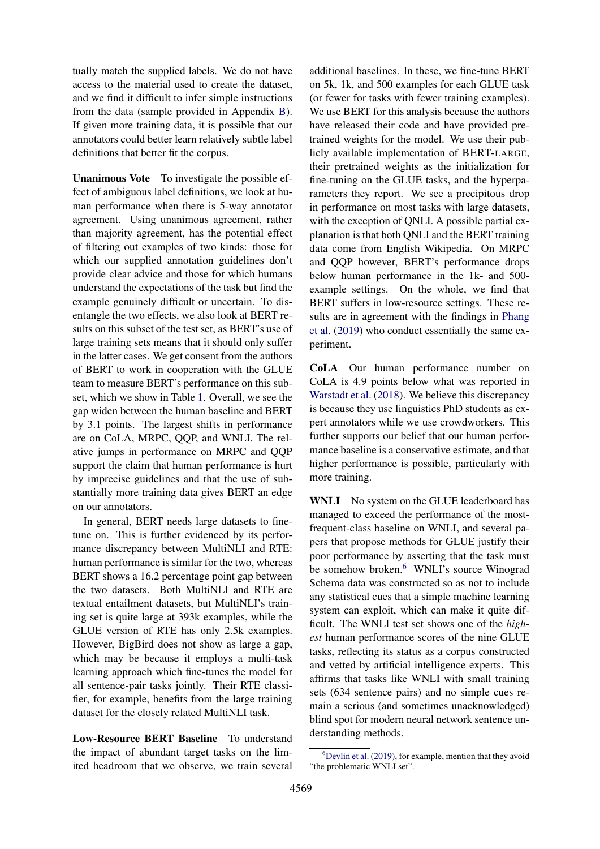tually match the supplied labels. We do not have access to the material used to create the dataset, and we find it difficult to infer simple instructions from the data (sample provided in Appendix [B\)](#page-5-9). If given more training data, it is possible that our annotators could better learn relatively subtle label definitions that better fit the corpus.

Unanimous Vote To investigate the possible effect of ambiguous label definitions, we look at human performance when there is 5-way annotator agreement. Using unanimous agreement, rather than majority agreement, has the potential effect of filtering out examples of two kinds: those for which our supplied annotation guidelines don't provide clear advice and those for which humans understand the expectations of the task but find the example genuinely difficult or uncertain. To disentangle the two effects, we also look at BERT results on this subset of the test set, as BERT's use of large training sets means that it should only suffer in the latter cases. We get consent from the authors of BERT to work in cooperation with the GLUE team to measure BERT's performance on this subset, which we show in Table [1.](#page-1-1) Overall, we see the gap widen between the human baseline and BERT by 3.1 points. The largest shifts in performance are on CoLA, MRPC, QQP, and WNLI. The relative jumps in performance on MRPC and QQP support the claim that human performance is hurt by imprecise guidelines and that the use of substantially more training data gives BERT an edge on our annotators.

In general, BERT needs large datasets to finetune on. This is further evidenced by its performance discrepancy between MultiNLI and RTE: human performance is similar for the two, whereas BERT shows a 16.2 percentage point gap between the two datasets. Both MultiNLI and RTE are textual entailment datasets, but MultiNLI's training set is quite large at 393k examples, while the GLUE version of RTE has only 2.5k examples. However, BigBird does not show as large a gap, which may be because it employs a multi-task learning approach which fine-tunes the model for all sentence-pair tasks jointly. Their RTE classifier, for example, benefits from the large training dataset for the closely related MultiNLI task.

Low-Resource BERT Baseline To understand the impact of abundant target tasks on the limited headroom that we observe, we train several

additional baselines. In these, we fine-tune BERT on 5k, 1k, and 500 examples for each GLUE task (or fewer for tasks with fewer training examples). We use BERT for this analysis because the authors have released their code and have provided pretrained weights for the model. We use their publicly available implementation of BERT-LARGE, their pretrained weights as the initialization for fine-tuning on the GLUE tasks, and the hyperparameters they report. We see a precipitous drop in performance on most tasks with large datasets, with the exception of QNLI. A possible partial explanation is that both QNLI and the BERT training data come from English Wikipedia. On MRPC and QQP however, BERT's performance drops below human performance in the 1k- and 500 example settings. On the whole, we find that BERT suffers in low-resource settings. These results are in agreement with the findings in [Phang](#page-4-13) [et al.](#page-4-13) [\(2019\)](#page-4-13) who conduct essentially the same experiment.

CoLA Our human performance number on CoLA is 4.9 points below what was reported in [Warstadt et al.](#page-5-5) [\(2018\)](#page-5-5). We believe this discrepancy is because they use linguistics PhD students as expert annotators while we use crowdworkers. This further supports our belief that our human performance baseline is a conservative estimate, and that higher performance is possible, particularly with more training.

WNLI No system on the GLUE leaderboard has managed to exceed the performance of the mostfrequent-class baseline on WNLI, and several papers that propose methods for GLUE justify their poor performance by asserting that the task must be somehow broken.<sup>[6](#page-3-0)</sup> WNLI's source Winograd Schema data was constructed so as not to include any statistical cues that a simple machine learning system can exploit, which can make it quite difficult. The WNLI test set shows one of the *highest* human performance scores of the nine GLUE tasks, reflecting its status as a corpus constructed and vetted by artificial intelligence experts. This affirms that tasks like WNLI with small training sets (634 sentence pairs) and no simple cues remain a serious (and sometimes unacknowledged) blind spot for modern neural network sentence understanding methods.

<span id="page-3-0"></span> ${}^{6}$ [Devlin et al.](#page-4-0) [\(2019\)](#page-4-0), for example, mention that they avoid "the problematic WNLI set".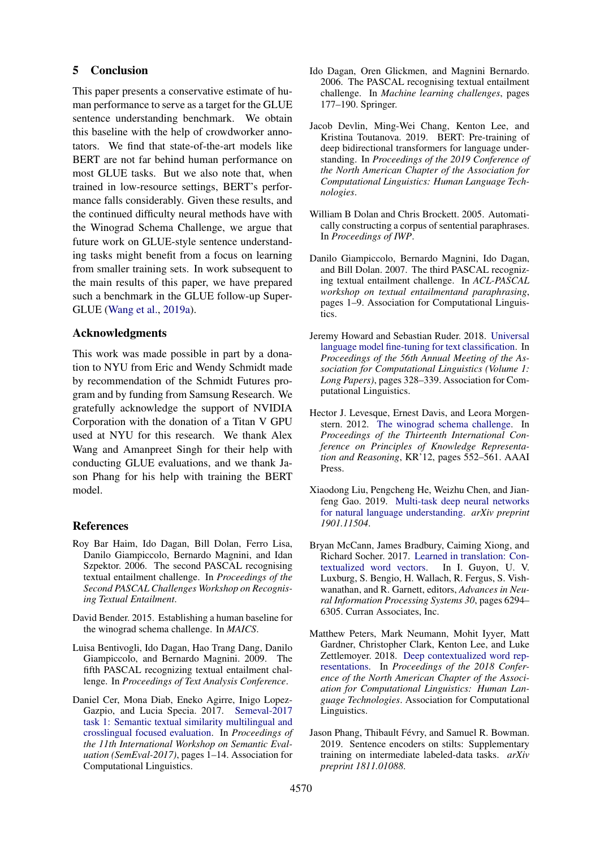## 5 Conclusion

This paper presents a conservative estimate of human performance to serve as a target for the GLUE sentence understanding benchmark. We obtain this baseline with the help of crowdworker annotators. We find that state-of-the-art models like BERT are not far behind human performance on most GLUE tasks. But we also note that, when trained in low-resource settings, BERT's performance falls considerably. Given these results, and the continued difficulty neural methods have with the Winograd Schema Challenge, we argue that future work on GLUE-style sentence understanding tasks might benefit from a focus on learning from smaller training sets. In work subsequent to the main results of this paper, we have prepared such a benchmark in the GLUE follow-up Super-GLUE [\(Wang et al.,](#page-5-10) [2019a\)](#page-5-10).

#### Acknowledgments

This work was made possible in part by a donation to NYU from Eric and Wendy Schmidt made by recommendation of the Schmidt Futures program and by funding from Samsung Research. We gratefully acknowledge the support of NVIDIA Corporation with the donation of a Titan V GPU used at NYU for this research. We thank Alex Wang and Amanpreet Singh for their help with conducting GLUE evaluations, and we thank Jason Phang for his help with training the BERT model.

## References

- <span id="page-4-7"></span>Roy Bar Haim, Ido Dagan, Bill Dolan, Ferro Lisa, Danilo Giampiccolo, Bernardo Magnini, and Idan Szpektor. 2006. The second PASCAL recognising textual entailment challenge. In *Proceedings of the Second PASCAL Challenges Workshop on Recognising Textual Entailment*.
- <span id="page-4-12"></span>David Bender. 2015. Establishing a human baseline for the winograd schema challenge. In *MAICS*.
- <span id="page-4-9"></span>Luisa Bentivogli, Ido Dagan, Hao Trang Dang, Danilo Giampiccolo, and Bernardo Magnini. 2009. The fifth PASCAL recognizing textual entailment challenge. In *Proceedings of Text Analysis Conference*.
- <span id="page-4-11"></span>Daniel Cer, Mona Diab, Eneko Agirre, Inigo Lopez-Gazpio, and Lucia Specia. 2017. [Semeval-2017](https://doi.org/10.18653/v1/S17-2001) [task 1: Semantic textual similarity multilingual and](https://doi.org/10.18653/v1/S17-2001) [crosslingual focused evaluation.](https://doi.org/10.18653/v1/S17-2001) In *Proceedings of the 11th International Workshop on Semantic Evaluation (SemEval-2017)*, pages 1–14. Association for Computational Linguistics.
- <span id="page-4-6"></span>Ido Dagan, Oren Glickmen, and Magnini Bernardo. 2006. The PASCAL recognising textual entailment challenge. In *Machine learning challenges*, pages 177–190. Springer.
- <span id="page-4-0"></span>Jacob Devlin, Ming-Wei Chang, Kenton Lee, and Kristina Toutanova. 2019. BERT: Pre-training of deep bidirectional transformers for language understanding. In *Proceedings of the 2019 Conference of the North American Chapter of the Association for Computational Linguistics: Human Language Technologies*.
- <span id="page-4-10"></span>William B Dolan and Chris Brockett. 2005. Automatically constructing a corpus of sentential paraphrases. In *Proceedings of IWP*.
- <span id="page-4-8"></span>Danilo Giampiccolo, Bernardo Magnini, Ido Dagan, and Bill Dolan. 2007. The third PASCAL recognizing textual entailment challenge. In *ACL-PASCAL workshop on textual entailmentand paraphrasing*, pages 1–9. Association for Computational Linguistics.
- <span id="page-4-3"></span>Jeremy Howard and Sebastian Ruder. 2018. [Universal](http://aclweb.org/anthology/P18-1031) [language model fine-tuning for text classification.](http://aclweb.org/anthology/P18-1031) In *Proceedings of the 56th Annual Meeting of the Association for Computational Linguistics (Volume 1: Long Papers)*, pages 328–339. Association for Computational Linguistics.
- <span id="page-4-5"></span>Hector J. Levesque, Ernest Davis, and Leora Morgenstern. 2012. [The winograd schema challenge.](http://dl.acm.org/citation.cfm?id=3031843.3031909) In *Proceedings of the Thirteenth International Conference on Principles of Knowledge Representation and Reasoning*, KR'12, pages 552–561. AAAI Press.
- <span id="page-4-4"></span>Xiaodong Liu, Pengcheng He, Weizhu Chen, and Jianfeng Gao. 2019. [Multi-task deep neural networks](http://arxiv.org/abs/1901.11504) [for natural language understanding.](http://arxiv.org/abs/1901.11504) *arXiv preprint 1901.11504*.
- <span id="page-4-1"></span>Bryan McCann, James Bradbury, Caiming Xiong, and Richard Socher. 2017. [Learned in translation: Con](http://papers.nips.cc/paper/7209-learned-in-translation-contextualized-word-vectors.pdf)[textualized word vectors.](http://papers.nips.cc/paper/7209-learned-in-translation-contextualized-word-vectors.pdf) In I. Guyon, U. V. Luxburg, S. Bengio, H. Wallach, R. Fergus, S. Vishwanathan, and R. Garnett, editors, *Advances in Neural Information Processing Systems 30*, pages 6294– 6305. Curran Associates, Inc.
- <span id="page-4-2"></span>Matthew Peters, Mark Neumann, Mohit Iyyer, Matt Gardner, Christopher Clark, Kenton Lee, and Luke Zettlemoyer. 2018. [Deep contextualized word rep](https://doi.org/10.18653/v1/N18-1202)[resentations.](https://doi.org/10.18653/v1/N18-1202) In *Proceedings of the 2018 Conference of the North American Chapter of the Association for Computational Linguistics: Human Language Technologies*. Association for Computational Linguistics.
- <span id="page-4-13"></span>Jason Phang, Thibault Févry, and Samuel R. Bowman. 2019. Sentence encoders on stilts: Supplementary training on intermediate labeled-data tasks. *arXiv preprint 1811.01088*.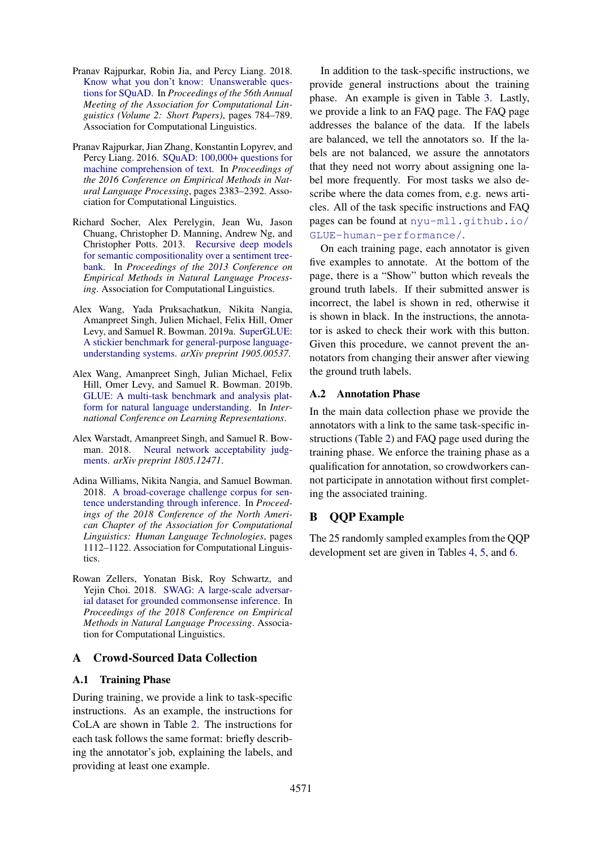- <span id="page-5-1"></span>Pranav Rajpurkar, Robin Jia, and Percy Liang. 2018. [Know what you don't know: Unanswerable ques](http://aclweb.org/anthology/P18-2124)[tions for SQuAD.](http://aclweb.org/anthology/P18-2124) In *Proceedings of the 56th Annual Meeting of the Association for Computational Linguistics (Volume 2: Short Papers)*, pages 784–789. Association for Computational Linguistics.
- <span id="page-5-4"></span>Pranav Rajpurkar, Jian Zhang, Konstantin Lopyrev, and Percy Liang. 2016. [SQuAD: 100,000+ questions for](https://doi.org/10.18653/v1/D16-1264) [machine comprehension of text.](https://doi.org/10.18653/v1/D16-1264) In *Proceedings of the 2016 Conference on Empirical Methods in Natural Language Processing*, pages 2383–2392. Association for Computational Linguistics.
- <span id="page-5-6"></span>Richard Socher, Alex Perelygin, Jean Wu, Jason Chuang, Christopher D. Manning, Andrew Ng, and Christopher Potts. 2013. [Recursive deep models](http://aclweb.org/anthology/D13-1170) [for semantic compositionality over a sentiment tree](http://aclweb.org/anthology/D13-1170)[bank.](http://aclweb.org/anthology/D13-1170) In *Proceedings of the 2013 Conference on Empirical Methods in Natural Language Processing*. Association for Computational Linguistics.
- <span id="page-5-10"></span>Alex Wang, Yada Pruksachatkun, Nikita Nangia, Amanpreet Singh, Julien Michael, Felix Hill, Omer Levy, and Samuel R. Bowman. 2019a. [SuperGLUE:](http://arxiv.org/abs/1905.00537) [A stickier benchmark for general-purpose language](http://arxiv.org/abs/1905.00537)[understanding systems.](http://arxiv.org/abs/1905.00537) *arXiv preprint 1905.00537*.
- <span id="page-5-0"></span>Alex Wang, Amanpreet Singh, Julian Michael, Felix Hill, Omer Levy, and Samuel R. Bowman. 2019b. [GLUE: A multi-task benchmark and analysis plat](https://openreview.net/forum?id=rJ4km2R5t7)[form for natural language understanding.](https://openreview.net/forum?id=rJ4km2R5t7) In *International Conference on Learning Representations*.
- <span id="page-5-5"></span>Alex Warstadt, Amanpreet Singh, and Samuel R. Bowman. 2018. [Neural network acceptability judg](http://arxiv.org/abs/1805.12471)[ments.](http://arxiv.org/abs/1805.12471) *arXiv preprint 1805.12471*.
- <span id="page-5-3"></span>Adina Williams, Nikita Nangia, and Samuel Bowman. 2018. [A broad-coverage challenge corpus for sen](https://doi.org/10.18653/v1/N18-1101)[tence understanding through inference.](https://doi.org/10.18653/v1/N18-1101) In *Proceedings of the 2018 Conference of the North American Chapter of the Association for Computational Linguistics: Human Language Technologies*, pages 1112–1122. Association for Computational Linguistics.
- <span id="page-5-2"></span>Rowan Zellers, Yonatan Bisk, Roy Schwartz, and Yejin Choi. 2018. [SWAG: A large-scale adversar](http://aclweb.org/anthology/D18-1009)[ial dataset for grounded commonsense inference.](http://aclweb.org/anthology/D18-1009) In *Proceedings of the 2018 Conference on Empirical Methods in Natural Language Processing*. Association for Computational Linguistics.

# A Crowd-Sourced Data Collection

# <span id="page-5-7"></span>A.1 Training Phase

During training, we provide a link to task-specific instructions. As an example, the instructions for CoLA are shown in Table [2.](#page-6-0) The instructions for each task follows the same format: briefly describing the annotator's job, explaining the labels, and providing at least one example.

In addition to the task-specific instructions, we provide general instructions about the training phase. An example is given in Table [3.](#page-7-0) Lastly, we provide a link to an FAQ page. The FAQ page addresses the balance of the data. If the labels are balanced, we tell the annotators so. If the labels are not balanced, we assure the annotators that they need not worry about assigning one label more frequently. For most tasks we also describe where the data comes from, e.g. news articles. All of the task specific instructions and FAQ pages can be found at [nyu-mll.github.io/](nyu-mll.github.io/GLUE-human-performance/) [GLUE-human-performance/](nyu-mll.github.io/GLUE-human-performance/).

On each training page, each annotator is given five examples to annotate. At the bottom of the page, there is a "Show" button which reveals the ground truth labels. If their submitted answer is incorrect, the label is shown in red, otherwise it is shown in black. In the instructions, the annotator is asked to check their work with this button. Given this procedure, we cannot prevent the annotators from changing their answer after viewing the ground truth labels.

# <span id="page-5-8"></span>A.2 Annotation Phase

In the main data collection phase we provide the annotators with a link to the same task-specific instructions (Table [2\)](#page-6-0) and FAQ page used during the training phase. We enforce the training phase as a qualification for annotation, so crowdworkers cannot participate in annotation without first completing the associated training.

# <span id="page-5-9"></span>B QQP Example

The 25 randomly sampled examples from the QQP development set are given in Tables [4,](#page-7-1) [5,](#page-8-0) and [6.](#page-9-0)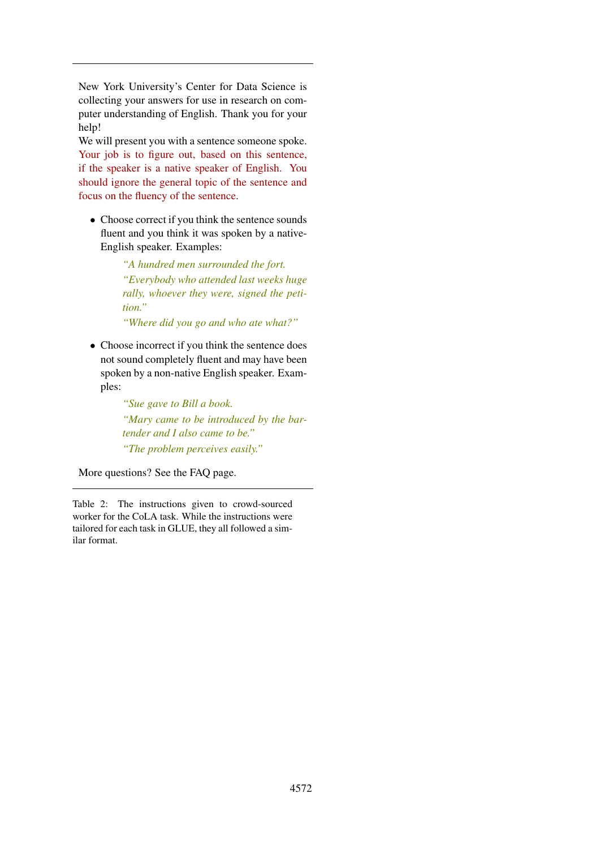<span id="page-6-0"></span>New York University's Center for Data Science is collecting your answers for use in research on computer understanding of English. Thank you for your help!

We will present you with a sentence someone spoke. Your job is to figure out, based on this sentence, if the speaker is a native speaker of English. You should ignore the general topic of the sentence and focus on the fluency of the sentence.

• Choose correct if you think the sentence sounds fluent and you think it was spoken by a native-English speaker. Examples:

> *"A hundred men surrounded the fort. "Everybody who attended last weeks huge rally, whoever they were, signed the petition."*

*"Where did you go and who ate what?"*

• Choose incorrect if you think the sentence does not sound completely fluent and may have been spoken by a non-native English speaker. Examples:

> *"Sue gave to Bill a book. "Mary came to be introduced by the bartender and I also came to be." "The problem perceives easily."*

More questions? See the FAQ page.

Table 2: The instructions given to crowd-sourced worker for the CoLA task. While the instructions were tailored for each task in GLUE, they all followed a similar format.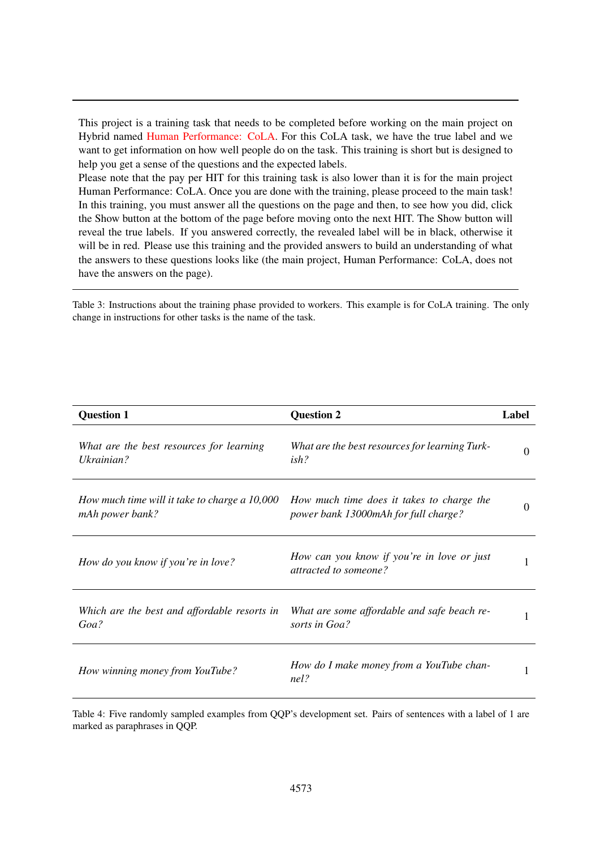<span id="page-7-0"></span>This project is a training task that needs to be completed before working on the main project on Hybrid named Human Performance: CoLA. For this CoLA task, we have the true label and we want to get information on how well people do on the task. This training is short but is designed to help you get a sense of the questions and the expected labels.

Please note that the pay per HIT for this training task is also lower than it is for the main project Human Performance: CoLA. Once you are done with the training, please proceed to the main task! In this training, you must answer all the questions on the page and then, to see how you did, click the Show button at the bottom of the page before moving onto the next HIT. The Show button will reveal the true labels. If you answered correctly, the revealed label will be in black, otherwise it will be in red. Please use this training and the provided answers to build an understanding of what the answers to these questions looks like (the main project, Human Performance: CoLA, does not have the answers on the page).

Table 3: Instructions about the training phase provided to workers. This example is for CoLA training. The only change in instructions for other tasks is the name of the task.

<span id="page-7-1"></span>

| <b>Question 1</b>                                                | <b>Question 2</b>                                                                 | Label    |
|------------------------------------------------------------------|-----------------------------------------------------------------------------------|----------|
| What are the best resources for learning<br>Ukrainian?           | What are the best resources for learning Turk-<br>ish?                            | $\theta$ |
| How much time will it take to charge a 10,000<br>mAh power bank? | How much time does it takes to charge the<br>power bank 13000mAh for full charge? | $\Omega$ |
| How do you know if you're in love?                               | How can you know if you're in love or just<br>attracted to someone?               | 1        |
| Which are the best and affordable resorts in<br>Goa?             | What are some affordable and safe beach re-<br>sorts in Goa?                      | 1        |
| How winning money from YouTube?                                  | How do I make money from a YouTube chan-<br>nel?                                  | 1        |

Table 4: Five randomly sampled examples from QQP's development set. Pairs of sentences with a label of 1 are marked as paraphrases in QQP.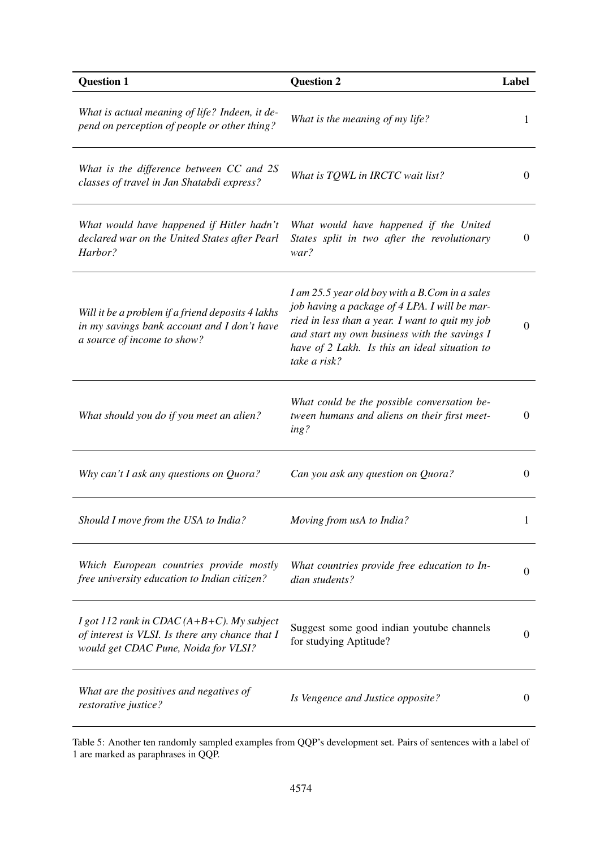<span id="page-8-0"></span>

| <b>Question 1</b>                                                                                                                         | <b>Question 2</b>                                                                                                                                                                                                                                                   | Label            |
|-------------------------------------------------------------------------------------------------------------------------------------------|---------------------------------------------------------------------------------------------------------------------------------------------------------------------------------------------------------------------------------------------------------------------|------------------|
| What is actual meaning of life? Indeen, it de-<br>pend on perception of people or other thing?                                            | What is the meaning of my life?                                                                                                                                                                                                                                     | 1                |
| What is the difference between CC and 2S<br>classes of travel in Jan Shatabdi express?                                                    | What is TQWL in IRCTC wait list?                                                                                                                                                                                                                                    | $\overline{0}$   |
| What would have happened if Hitler hadn't<br>declared war on the United States after Pearl<br>Harbor?                                     | What would have happened if the United<br>States split in two after the revolutionary<br>war?                                                                                                                                                                       | $\boldsymbol{0}$ |
| Will it be a problem if a friend deposits 4 lakhs<br>in my savings bank account and I don't have<br>a source of income to show?           | I am 25.5 year old boy with a B.Com in a sales<br>job having a package of 4 LPA. I will be mar-<br>ried in less than a year. I want to quit my job<br>and start my own business with the savings I<br>have of 2 Lakh. Is this an ideal situation to<br>take a risk? | $\mathbf{0}$     |
| What should you do if you meet an alien?                                                                                                  | What could be the possible conversation be-<br>tween humans and aliens on their first meet-<br>ing?                                                                                                                                                                 | $\boldsymbol{0}$ |
| Why can't I ask any questions on Quora?                                                                                                   | Can you ask any question on Quora?                                                                                                                                                                                                                                  | $\mathbf{0}$     |
| Should I move from the USA to India?                                                                                                      | Moving from usA to India?                                                                                                                                                                                                                                           |                  |
| Which European countries provide mostly<br>free university education to Indian citizen?                                                   | What countries provide free education to In-<br>dian students?                                                                                                                                                                                                      | $\boldsymbol{0}$ |
| I got 112 rank in CDAC ( $A+B+C$ ). My subject<br>of interest is VLSI. Is there any chance that I<br>would get CDAC Pune, Noida for VLSI? | Suggest some good indian youtube channels<br>for studying Aptitude?                                                                                                                                                                                                 | $\boldsymbol{0}$ |
| What are the positives and negatives of<br>restorative justice?                                                                           | Is Vengence and Justice opposite?                                                                                                                                                                                                                                   | $\theta$         |

Table 5: Another ten randomly sampled examples from QQP's development set. Pairs of sentences with a label of 1 are marked as paraphrases in QQP.